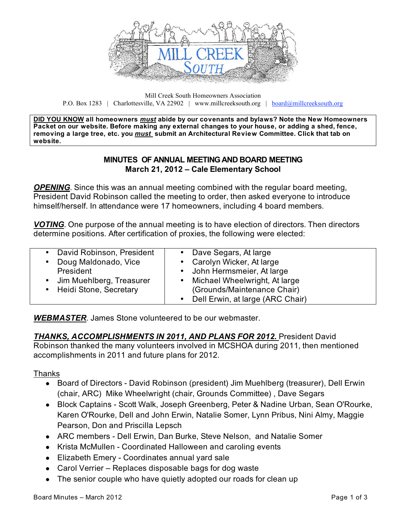

Mill Creek South Homeowners Association P.O. Box 1283 | Charlottesville, VA 22902 | www.millcreeksouth.org | board@millcreeksouth.org

**DID YOU KNOW all homeowners** *must* **abide by our covenants and bylaws? Note the New Homeowners Packet on our website. Before making any external changes to your house, or adding a shed, fence, removing a large tree, etc. you** *must* **submit an Architectural Review Committee. Click that tab on website.**

### **MINUTES OF ANNUAL MEETING AND BOARD MEETING March 21, 2012 – Cale Elementary School**

*OPENING*. Since this was an annual meeting combined with the regular board meeting, President David Robinson called the meeting to order, then asked everyone to introduce himself/herself. In attendance were 17 homeowners, including 4 board members.

*VOTING*. One purpose of the annual meeting is to have election of directors. Then directors determine positions. After certification of proxies, the following were elected:

| David Robinson, President                            | • Dave Segars, At large                                                                              |
|------------------------------------------------------|------------------------------------------------------------------------------------------------------|
| Doug Maldonado, Vice                                 | • Carolyn Wicker, At large                                                                           |
| President                                            | • John Hermsmeier, At large                                                                          |
| Jim Muehlberg, Treasurer<br>• Heidi Stone, Secretary | • Michael Wheelwright, At large<br>(Grounds/Maintenance Chair)<br>• Dell Erwin, at large (ARC Chair) |

*WEBMASTER*. James Stone volunteered to be our webmaster.

#### *THANKS, ACCOMPLISHMENTS IN 2011, AND PLANS FOR 2012.* President David Robinson thanked the many volunteers involved in MCSHOA during 2011, then mentioned accomplishments in 2011 and future plans for 2012.

### Thanks

- **●** Board of Directors David Robinson (president) Jim Muehlberg (treasurer), Dell Erwin (chair, ARC) Mike Wheelwright (chair, Grounds Committee) , Dave Segars
- **●** Block Captains Scott Walk, Joseph Greenberg, Peter & Nadine Urban, Sean O'Rourke, Karen O'Rourke, Dell and John Erwin, Natalie Somer, Lynn Pribus, Nini Almy, Maggie Pearson, Don and Priscilla Lepsch
- **●** ARC members Dell Erwin, Dan Burke, Steve Nelson, and Natalie Somer
- **●** Krista McMullen Coordinated Halloween and caroling events
- **●** Elizabeth Emery Coordinates annual yard sale
- **●** Carol Verrier Replaces disposable bags for dog waste
- The senior couple who have quietly adopted our roads for clean up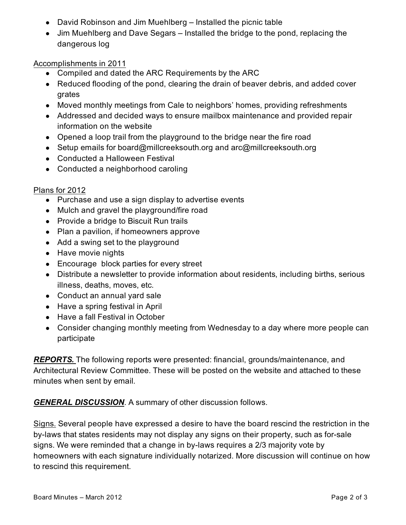- **●** David Robinson and Jim Muehlberg Installed the picnic table
- **●** Jim Muehlberg and Dave Segars Installed the bridge to the pond, replacing the dangerous log

Accomplishments in 2011

- **●** Compiled and dated the ARC Requirements by the ARC
- **●** Reduced flooding of the pond, clearing the drain of beaver debris, and added cover grates
- **●** Moved monthly meetings from Cale to neighbors' homes, providing refreshments
- **●** Addressed and decided ways to ensure mailbox maintenance and provided repair information on the website
- **●** Opened a loop trail from the playground to the bridge near the fire road
- **●** Setup emails for board@millcreeksouth.org and arc@millcreeksouth.org
- **●** Conducted a Halloween Festival
- **●** Conducted a neighborhood caroling

## Plans for 2012

- **●** Purchase and use a sign display to advertise events
- **●** Mulch and gravel the playground/fire road
- **●** Provide a bridge to Biscuit Run trails
- **●** Plan a pavilion, if homeowners approve
- **●** Add a swing set to the playground
- **●** Have movie nights
- **●** Encourage block parties for every street
- **●** Distribute a newsletter to provide information about residents, including births, serious illness, deaths, moves, etc.
- **●** Conduct an annual yard sale
- **●** Have a spring festival in April
- **●** Have a fall Festival in October
- **●** Consider changing monthly meeting from Wednesday to a day where more people can participate

*REPORTS.* The following reports were presented: financial, grounds/maintenance, and Architectural Review Committee. These will be posted on the website and attached to these minutes when sent by email.

*GENERAL DISCUSSION*. A summary of other discussion follows.

Signs. Several people have expressed a desire to have the board rescind the restriction in the by-laws that states residents may not display any signs on their property, such as for-sale signs. We were reminded that a change in by-laws requires a 2/3 majority vote by homeowners with each signature individually notarized. More discussion will continue on how to rescind this requirement.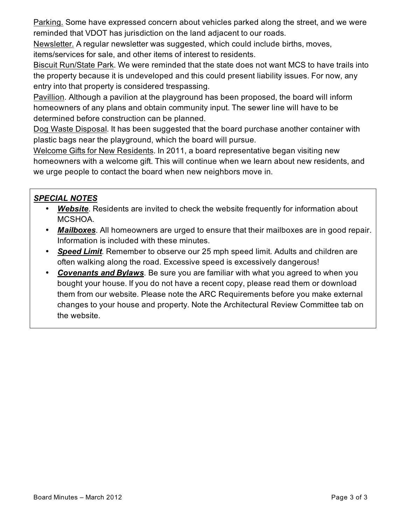Parking. Some have expressed concern about vehicles parked along the street, and we were reminded that VDOT has jurisdiction on the land adjacent to our roads.

Newsletter. A regular newsletter was suggested, which could include births, moves, items/services for sale, and other items of interest to residents.

Biscuit Run/State Park. We were reminded that the state does not want MCS to have trails into the property because it is undeveloped and this could present liability issues. For now, any entry into that property is considered trespassing.

Pavillion. Although a pavilion at the playground has been proposed, the board will inform homeowners of any plans and obtain community input. The sewer line will have to be determined before construction can be planned.

Dog Waste Disposal. It has been suggested that the board purchase another container with plastic bags near the playground, which the board will pursue.

Welcome Gifts for New Residents. In 2011, a board representative began visiting new homeowners with a welcome gift. This will continue when we learn about new residents, and we urge people to contact the board when new neighbors move in.

## *SPECIAL NOTES*

- **Website**. Residents are invited to check the website frequently for information about MCSHOA.
- *Mailboxes*. All homeowners are urged to ensure that their mailboxes are in good repair. Information is included with these minutes.
- *Speed Limit*. Remember to observe our 25 mph speed limit. Adults and children are often walking along the road. Excessive speed is excessively dangerous!
- *Covenants and Bylaws*. Be sure you are familiar with what you agreed to when you bought your house. If you do not have a recent copy, please read them or download them from our website. Please note the ARC Requirements before you make external changes to your house and property. Note the Architectural Review Committee tab on the website.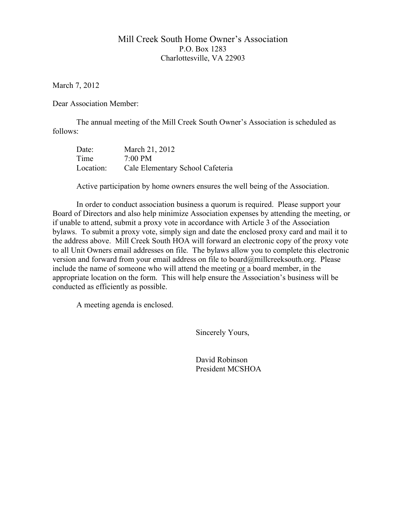### Mill Creek South Home Owner's Association P.O. Box 1283 Charlottesville, VA 22903

March 7, 2012

Dear Association Member:

The annual meeting of the Mill Creek South Owner's Association is scheduled as follows:

| Date:     | March 21, 2012                   |
|-----------|----------------------------------|
| Time      | $7:00$ PM                        |
| Location: | Cale Elementary School Cafeteria |

Active participation by home owners ensures the well being of the Association.

In order to conduct association business a quorum is required. Please support your Board of Directors and also help minimize Association expenses by attending the meeting, or if unable to attend, submit a proxy vote in accordance with Article 3 of the Association bylaws. To submit a proxy vote, simply sign and date the enclosed proxy card and mail it to the address above. Mill Creek South HOA will forward an electronic copy of the proxy vote to all Unit Owners email addresses on file. The bylaws allow you to complete this electronic version and forward from your email address on file to board@millcreeksouth.org. Please include the name of someone who will attend the meeting or a board member, in the appropriate location on the form. This will help ensure the Association's business will be conducted as efficiently as possible.

A meeting agenda is enclosed.

Sincerely Yours,

 David Robinson President MCSHOA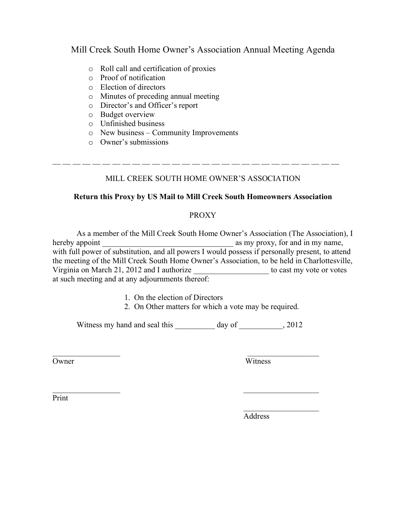### Mill Creek South Home Owner's Association Annual Meeting Agenda

- o Roll call and certification of proxies
- o Proof of notification
- o Election of directors
- o Minutes of preceding annual meeting
- o Director's and Officer's report
- o Budget overview
- o Unfinished business
- o New business Community Improvements
- o Owner's submissions

#### MILL CREEK SOUTH HOME OWNER'S ASSOCIATION

\_\_ \_\_ \_\_ \_\_ \_\_ \_\_ \_\_ \_\_ \_\_ \_\_ \_\_ \_\_ \_\_ \_\_ \_\_ \_\_ \_\_ \_\_ \_\_ \_\_ \_\_ \_\_ \_\_ \_\_ \_\_ \_\_ \_\_ \_\_ \_\_

#### **Return this Proxy by US Mail to Mill Creek South Homeowners Association**

#### PROXY

 As a member of the Mill Creek South Home Owner's Association (The Association), I hereby appoint \_\_\_\_\_\_\_\_\_\_\_\_\_\_\_\_\_\_\_\_\_\_\_\_\_\_\_\_\_\_\_\_\_ as my proxy, for and in my name, with full power of substitution, and all powers I would possess if personally present, to attend the meeting of the Mill Creek South Home Owner's Association, to be held in Charlottesville, Virginia on March 21, 2012 and I authorize \_\_\_\_\_\_\_\_\_\_\_\_\_\_\_\_\_\_\_ to cast my vote or votes at such meeting and at any adjournments thereof:

- 1. On the election of Directors
- 2. On Other matters for which a vote may be required.

Witness my hand and seal this \_\_\_\_\_\_\_\_\_ day of \_\_\_\_\_\_\_\_\_\_\_, 2012

 $\mathcal{L}_\text{max}$  and  $\mathcal{L}_\text{max}$  and  $\mathcal{L}_\text{max}$  and  $\mathcal{L}_\text{max}$ 

 $\mathcal{L}_\text{max}$  , and the contract of the contract of the contract of the contract of the contract of the contract of

 $\mathcal{L}_\mathcal{L} = \{ \mathcal{L}_\mathcal{L} \mid \mathcal{L}_\mathcal{L} \}$  , where  $\mathcal{L}_\mathcal{L} = \{ \mathcal{L}_\mathcal{L} \mid \mathcal{L}_\mathcal{L} \}$ 

Owner Witness

Print

Address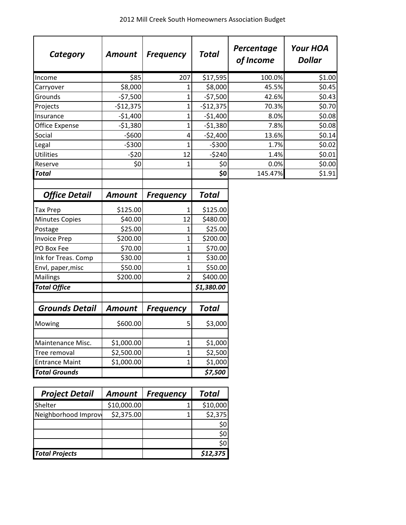| Category              | <b>Amount</b> | <b>Frequency</b> | <b>Total</b> | Percentage<br>of Income | <b>Your HOA</b><br><b>Dollar</b> |
|-----------------------|---------------|------------------|--------------|-------------------------|----------------------------------|
| Income                | \$85          | 207              | \$17,595     | 100.0%                  | \$1.00                           |
| Carryover             | \$8,000       | 1                | \$8,000      | 45.5%                   | \$0.45                           |
| Grounds               | $-57,500$     | 1                | $-57,500$    | 42.6%                   | \$0.43                           |
| Projects              | $-$12,375$    | $\mathbf 1$      | $-$12,375$   | 70.3%                   | \$0.70                           |
| Insurance             | $-$1,400$     | 1                | $-$1,400$    | 8.0%                    | \$0.08                           |
| Office Expense        | $-51,380$     | $\mathbf 1$      | $-$1,380$    | 7.8%                    | \$0.08                           |
| Social                | $-5600$       | 4                | $-52,400$    | 13.6%                   | \$0.14                           |
| Legal                 | $-5300$       | 1                | $-5300$      | 1.7%                    | \$0.02                           |
| <b>Utilities</b>      | $-520$        | 12               | $-5240$      | 1.4%                    | \$0.01                           |
| Reserve               | \$0           | 1                | \$0          | 0.0%                    | \$0.00                           |
| <b>Total</b>          |               |                  | \$0          | 145.47%                 | \$1.91                           |
| <b>Office Detail</b>  | <b>Amount</b> | <b>Frequency</b> | <b>Total</b> |                         |                                  |
| Tax Prep              | \$125.00      | 1                | \$125.00     |                         |                                  |
| <b>Minutes Copies</b> | \$40.00       | 12               | \$480.00     |                         |                                  |
| Postage               | \$25.00       | 1                | \$25.00      |                         |                                  |
| <b>Invoice Prep</b>   | \$200.00      | 1                | \$200.00     |                         |                                  |
| PO Box Fee            | \$70.00       | 1                | \$70.00      |                         |                                  |
| Ink for Treas. Comp   | \$30.00       | $\mathbf 1$      | \$30.00      |                         |                                  |
| Envl, paper, misc     | \$50.00       | 1                | \$50.00      |                         |                                  |
| Mailings              | \$200.00      | $\overline{2}$   | \$400.00     |                         |                                  |
| <b>Total Office</b>   |               |                  | \$1,380.00   |                         |                                  |
| <b>Grounds Detail</b> | <b>Amount</b> | <b>Frequency</b> | <b>Total</b> |                         |                                  |
| Mowing                | \$600.00      | 5                | \$3,000      |                         |                                  |
| Maintenance Misc.     | \$1,000.00    | $\mathbf 1$      | \$1,000      |                         |                                  |
| Tree removal          | \$2,500.00    | $\mathbf 1$      | \$2,500      |                         |                                  |
| <b>Entrance Maint</b> | \$1,000.00    | $\mathbf 1$      | \$1,000      |                         |                                  |
| <b>Total Grounds</b>  |               |                  | \$7,500      |                         |                                  |

| <b>Project Detail</b> | <b>Amount</b> | <b>Frequency</b> | <b>Total</b> |
|-----------------------|---------------|------------------|--------------|
| Shelter               | \$10,000.00   |                  | \$10,000     |
| Neighborhood Improv   | \$2,375.00    |                  | \$2,375      |
|                       |               |                  | \$0          |
|                       |               |                  | \$0          |
|                       |               |                  | \$0          |
| <b>Total Projects</b> |               |                  | \$12,375     |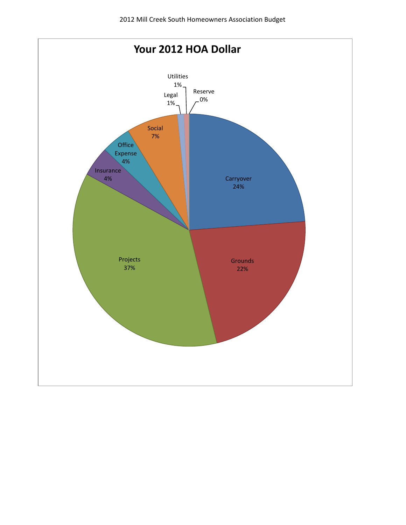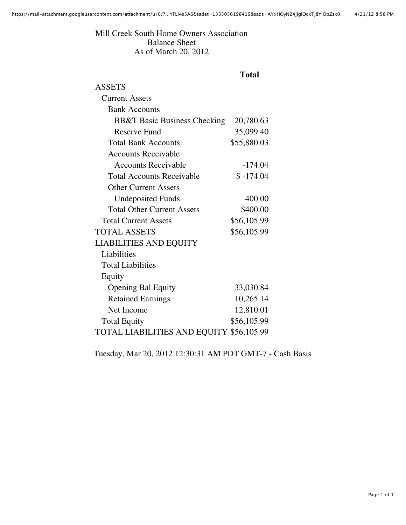Mill Creek South Home Owners Association Balance Sheet As of March 20, 2012

## **Total**

| <b>ASSETS</b>                            |             |  |
|------------------------------------------|-------------|--|
| <b>Current Assets</b>                    |             |  |
| <b>Bank Accounts</b>                     |             |  |
| <b>BB&amp;T Basic Business Checking</b>  | 20,780.63   |  |
| <b>Reserve Fund</b>                      | 35,099.40   |  |
| <b>Total Bank Accounts</b>               | \$55,880.03 |  |
| Accounts Receivable                      |             |  |
| <b>Accounts Receivable</b>               | $-174.04$   |  |
| <b>Total Accounts Receivable</b>         | $$-174.04$  |  |
| <b>Other Current Assets</b>              |             |  |
| <b>Undeposited Funds</b>                 | 400.00      |  |
| <b>Total Other Current Assets</b>        | \$400.00    |  |
| <b>Total Current Assets</b>              | \$56,105.99 |  |
| <b>TOTAL ASSETS</b>                      | \$56,105.99 |  |
| <b>LIABILITIES AND EQUITY</b>            |             |  |
| Liabilities                              |             |  |
| <b>Total Liabilities</b>                 |             |  |
| Equity                                   |             |  |
| <b>Opening Bal Equity</b>                | 33,030.84   |  |
| <b>Retained Earnings</b>                 | 10,265.14   |  |
| Net Income                               | 12,810.01   |  |
| <b>Total Equity</b>                      | \$56,105.99 |  |
| TOTAL LIABILITIES AND EQUITY \$56,105.99 |             |  |

Tuesday, Mar 20, 2012 12:30:31 AM PDT GMT-7 - Cash Basis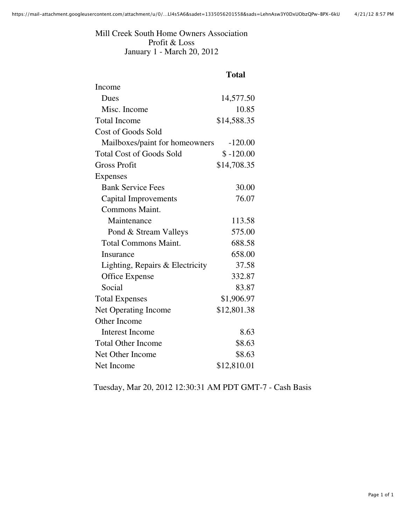Mill Creek South Home Owners Association Profit & Loss January 1 - March 20, 2012

# **Total**

| Income                          |             |
|---------------------------------|-------------|
| Dues                            | 14,577.50   |
| Misc. Income                    | 10.85       |
| <b>Total Income</b>             | \$14,588.35 |
| Cost of Goods Sold              |             |
| Mailboxes/paint for homeowners  | $-120.00$   |
| <b>Total Cost of Goods Sold</b> | $$ -120.00$ |
| <b>Gross Profit</b>             | \$14,708.35 |
| <b>Expenses</b>                 |             |
| <b>Bank Service Fees</b>        | 30.00       |
| Capital Improvements            | 76.07       |
| <b>Commons Maint.</b>           |             |
| Maintenance                     | 113.58      |
| Pond & Stream Valleys           | 575.00      |
| <b>Total Commons Maint.</b>     | 688.58      |
| <b>Insurance</b>                | 658.00      |
| Lighting, Repairs & Electricity | 37.58       |
| Office Expense                  | 332.87      |
| Social                          | 83.87       |
| <b>Total Expenses</b>           | \$1,906.97  |
| <b>Net Operating Income</b>     | \$12,801.38 |
| Other Income                    |             |
| <b>Interest Income</b>          | 8.63        |
| <b>Total Other Income</b>       | \$8.63      |
| Net Other Income                | \$8.63      |
| Net Income                      | \$12,810.01 |

Tuesday, Mar 20, 2012 12:30:31 AM PDT GMT-7 - Cash Basis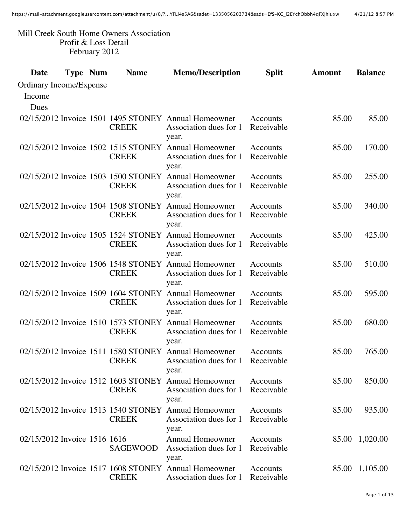#### Mill Creek South Home Owners Association Profit & Loss Detail February 2012

| Date                         | <b>Type Num</b> | <b>Name</b>                                         | <b>Memo/Description</b>                                                                 | <b>Split</b>                  | <b>Amount</b> | <b>Balance</b> |
|------------------------------|-----------------|-----------------------------------------------------|-----------------------------------------------------------------------------------------|-------------------------------|---------------|----------------|
| Ordinary Income/Expense      |                 |                                                     |                                                                                         |                               |               |                |
| Income                       |                 |                                                     |                                                                                         |                               |               |                |
| Dues                         |                 |                                                     |                                                                                         |                               |               |                |
|                              |                 | <b>CREEK</b>                                        | 02/15/2012 Invoice 1501 1495 STONEY Annual Homeowner<br>Association dues for 1<br>year. | <b>Accounts</b><br>Receivable | 85.00         | 85.00          |
|                              |                 | <b>CREEK</b>                                        | 02/15/2012 Invoice 1502 1515 STONEY Annual Homeowner<br>Association dues for 1<br>year. | Accounts<br>Receivable        | 85.00         | 170.00         |
|                              |                 | 02/15/2012 Invoice 1503 1500 STONEY<br><b>CREEK</b> | <b>Annual Homeowner</b><br>Association dues for 1<br>year.                              | Accounts<br>Receivable        | 85.00         | 255.00         |
|                              |                 | 02/15/2012 Invoice 1504 1508 STONEY<br><b>CREEK</b> | <b>Annual Homeowner</b><br>Association dues for 1<br>year.                              | Accounts<br>Receivable        | 85.00         | 340.00         |
|                              |                 | <b>CREEK</b>                                        | 02/15/2012 Invoice 1505 1524 STONEY Annual Homeowner<br>Association dues for 1<br>year. | Accounts<br>Receivable        | 85.00         | 425.00         |
|                              |                 | 02/15/2012 Invoice 1506 1548 STONEY<br><b>CREEK</b> | <b>Annual Homeowner</b><br>Association dues for 1<br>year.                              | Accounts<br>Receivable        | 85.00         | 510.00         |
|                              |                 | 02/15/2012 Invoice 1509 1604 STONEY<br><b>CREEK</b> | <b>Annual Homeowner</b><br>Association dues for 1<br>year.                              | Accounts<br>Receivable        | 85.00         | 595.00         |
|                              |                 | <b>CREEK</b>                                        | 02/15/2012 Invoice 1510 1573 STONEY Annual Homeowner<br>Association dues for 1<br>year. | Accounts<br>Receivable        | 85.00         | 680.00         |
|                              |                 | 02/15/2012 Invoice 1511 1580 STONEY<br><b>CREEK</b> | <b>Annual Homeowner</b><br>Association dues for 1<br>year.                              | Accounts<br>Receivable        | 85.00         | 765.00         |
|                              |                 | <b>CREEK</b>                                        | 02/15/2012 Invoice 1512 1603 STONEY Annual Homeowner<br>Association dues for 1<br>year. | Accounts<br>Receivable        | 85.00         | 850.00         |
|                              |                 | <b>CREEK</b>                                        | 02/15/2012 Invoice 1513 1540 STONEY Annual Homeowner<br>Association dues for 1<br>year. | Accounts<br>Receivable        | 85.00         | 935.00         |
| 02/15/2012 Invoice 1516 1616 |                 | <b>SAGEWOOD</b>                                     | <b>Annual Homeowner</b><br>Association dues for 1<br>year.                              | Accounts<br>Receivable        | 85.00         | 1,020.00       |
|                              |                 | <b>CREEK</b>                                        | 02/15/2012 Invoice 1517 1608 STONEY Annual Homeowner<br>Association dues for 1          | Accounts<br>Receivable        | 85.00         | 1,105.00       |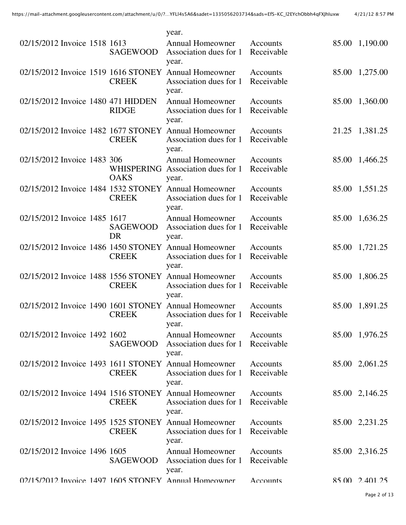|                                     |                           | year.                                                                                   |                               |       |                |
|-------------------------------------|---------------------------|-----------------------------------------------------------------------------------------|-------------------------------|-------|----------------|
| 02/15/2012 Invoice 1518 1613        | <b>SAGEWOOD</b>           | <b>Annual Homeowner</b><br>Association dues for 1<br>year.                              | Accounts<br>Receivable        | 85.00 | 1,190.00       |
|                                     | <b>CREEK</b>              | 02/15/2012 Invoice 1519 1616 STONEY Annual Homeowner<br>Association dues for 1<br>year. | Accounts<br>Receivable        | 85.00 | 1,275.00       |
| 02/15/2012 Invoice 1480 471 HIDDEN  | <b>RIDGE</b>              | <b>Annual Homeowner</b><br>Association dues for 1<br>year.                              | Accounts<br>Receivable        | 85.00 | 1,360.00       |
|                                     | <b>CREEK</b>              | 02/15/2012 Invoice 1482 1677 STONEY Annual Homeowner<br>Association dues for 1<br>year. | Accounts<br>Receivable        |       | 21.25 1,381.25 |
| 02/15/2012 Invoice 1483 306         | WHISPERING<br><b>OAKS</b> | <b>Annual Homeowner</b><br>Association dues for 1<br>year.                              | Accounts<br>Receivable        | 85.00 | 1,466.25       |
| 02/15/2012 Invoice 1484 1532 STONEY | <b>CREEK</b>              | <b>Annual Homeowner</b><br>Association dues for 1<br>year.                              | Accounts<br>Receivable        | 85.00 | 1,551.25       |
| 02/15/2012 Invoice 1485 1617        | <b>SAGEWOOD</b><br>DR     | <b>Annual Homeowner</b><br>Association dues for 1<br>year.                              | Accounts<br>Receivable        | 85.00 | 1,636.25       |
|                                     | <b>CREEK</b>              | 02/15/2012 Invoice 1486 1450 STONEY Annual Homeowner<br>Association dues for 1<br>year. | Accounts<br>Receivable        |       | 85.00 1,721.25 |
| 02/15/2012 Invoice 1488 1556 STONEY | <b>CREEK</b>              | <b>Annual Homeowner</b><br>Association dues for 1<br>year.                              | Accounts<br>Receivable        | 85.00 | 1,806.25       |
| 02/15/2012 Invoice 1490 1601 STONEY | <b>CREEK</b>              | <b>Annual Homeowner</b><br>Association dues for 1<br>year.                              | Accounts<br>Receivable        | 85.00 | 1,891.25       |
| 02/15/2012 Invoice 1492 1602        | <b>SAGEWOOD</b>           | <b>Annual Homeowner</b><br>Association dues for 1<br>year.                              | Accounts<br>Receivable        |       | 85.00 1,976.25 |
|                                     | <b>CREEK</b>              | 02/15/2012 Invoice 1493 1611 STONEY Annual Homeowner<br>Association dues for 1<br>year. | Accounts<br>Receivable        |       | 85.00 2,061.25 |
|                                     | <b>CREEK</b>              | 02/15/2012 Invoice 1494 1516 STONEY Annual Homeowner<br>Association dues for 1<br>year. | <b>Accounts</b><br>Receivable |       | 85.00 2,146.25 |
|                                     | <b>CREEK</b>              | 02/15/2012 Invoice 1495 1525 STONEY Annual Homeowner<br>Association dues for 1<br>year. | Accounts<br>Receivable        |       | 85.00 2,231.25 |
| 02/15/2012 Invoice 1496 1605        | SAGEWOOD                  | <b>Annual Homeowner</b><br>Association dues for 1<br>year.                              | Accounts<br>Receivable        |       | 85.00 2,316.25 |
|                                     |                           | 02/15/2012 Invoice 1497 1605 STONEY Annual Homeowner                                    | Accounts                      |       | 85.00 2.401.25 |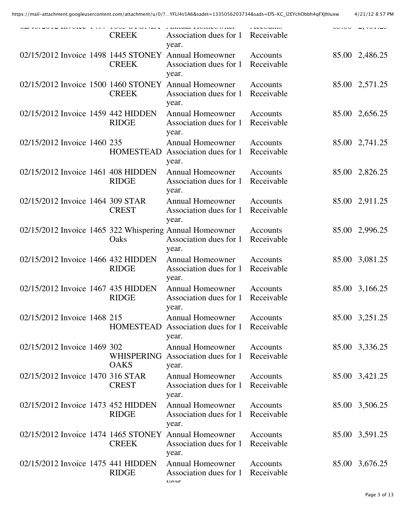|  |                             | <b>CREEK</b>                                       | THERMAL TENTHAN WHAT<br>Association dues for 1<br>year.                                    | <b>LEUU GAALU</b><br>Receivable |                |
|--|-----------------------------|----------------------------------------------------|--------------------------------------------------------------------------------------------|---------------------------------|----------------|
|  |                             | <b>CREEK</b>                                       | 02/15/2012 Invoice 1498 1445 STONEY Annual Homeowner<br>Association dues for 1<br>year.    | Accounts<br>Receivable          | 85.00 2,486.25 |
|  |                             | <b>CREEK</b>                                       | 02/15/2012 Invoice 1500 1460 STONEY Annual Homeowner<br>Association dues for 1<br>year.    | Accounts<br>Receivable          | 85.00 2,571.25 |
|  |                             | 02/15/2012 Invoice 1459 442 HIDDEN<br><b>RIDGE</b> | <b>Annual Homeowner</b><br>Association dues for 1<br>year.                                 | Accounts<br>Receivable          | 85.00 2,656.25 |
|  | 02/15/2012 Invoice 1460 235 | <b>HOMESTEAD</b>                                   | <b>Annual Homeowner</b><br>Association dues for 1<br>year.                                 | Accounts<br>Receivable          | 85.00 2,741.25 |
|  |                             | 02/15/2012 Invoice 1461 408 HIDDEN<br><b>RIDGE</b> | <b>Annual Homeowner</b><br>Association dues for 1<br>year.                                 | Accounts<br>Receivable          | 85.00 2,826.25 |
|  |                             | 02/15/2012 Invoice 1464 309 STAR<br><b>CREST</b>   | <b>Annual Homeowner</b><br>Association dues for 1<br>year.                                 | Accounts<br>Receivable          | 85.00 2,911.25 |
|  |                             | Oaks                                               | 02/15/2012 Invoice 1465 322 Whispering Annual Homeowner<br>Association dues for 1<br>year. | Accounts<br>Receivable          | 85.00 2,996.25 |
|  |                             | 02/15/2012 Invoice 1466 432 HIDDEN<br><b>RIDGE</b> | <b>Annual Homeowner</b><br>Association dues for 1<br>year.                                 | Accounts<br>Receivable          | 85.00 3,081.25 |
|  |                             | 02/15/2012 Invoice 1467 435 HIDDEN<br><b>RIDGE</b> | <b>Annual Homeowner</b><br>Association dues for 1<br>year.                                 | Accounts<br>Receivable          | 85.00 3,166.25 |
|  | 02/15/2012 Invoice 1468 215 |                                                    | <b>Annual Homeowner</b><br>HOMESTEAD Association dues for 1 Receivable<br>year.            | Accounts                        | 85.00 3,251.25 |
|  | 02/15/2012 Invoice 1469 302 | <b>OAKS</b>                                        | <b>Annual Homeowner</b><br>WHISPERING Association dues for 1<br>year.                      | Accounts<br>Receivable          | 85.00 3,336.25 |
|  |                             | 02/15/2012 Invoice 1470 316 STAR<br><b>CREST</b>   | <b>Annual Homeowner</b><br>Association dues for 1<br>year.                                 | Accounts<br>Receivable          | 85.00 3,421.25 |
|  |                             | 02/15/2012 Invoice 1473 452 HIDDEN<br><b>RIDGE</b> | <b>Annual Homeowner</b><br>Association dues for 1<br>year.                                 | Accounts<br>Receivable          | 85.00 3,506.25 |
|  |                             | <b>CREEK</b>                                       | 02/15/2012 Invoice 1474 1465 STONEY Annual Homeowner<br>Association dues for 1<br>year.    | Accounts<br>Receivable          | 85.00 3,591.25 |
|  |                             | 02/15/2012 Invoice 1475 441 HIDDEN<br><b>RIDGE</b> | <b>Annual Homeowner</b><br>Association dues for 1<br>$V \cap T$                            | Accounts<br>Receivable          | 85.00 3,676.25 |
|  |                             |                                                    |                                                                                            |                                 |                |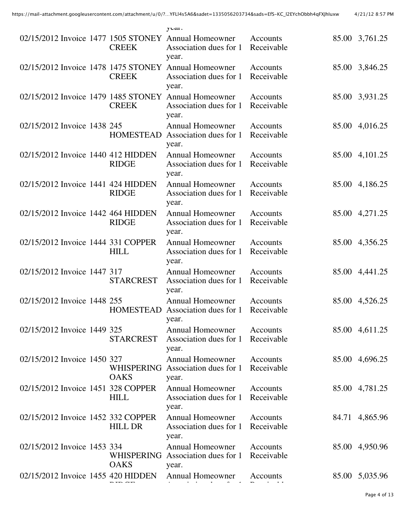|                                     |                           | $y$ <b>cal</b> .                                                                        |                        |       |                |
|-------------------------------------|---------------------------|-----------------------------------------------------------------------------------------|------------------------|-------|----------------|
| 02/15/2012 Invoice 1477 1505 STONEY | <b>CREEK</b>              | <b>Annual Homeowner</b><br>Association dues for 1<br>year.                              | Accounts<br>Receivable |       | 85.00 3,761.25 |
|                                     | <b>CREEK</b>              | 02/15/2012 Invoice 1478 1475 STONEY Annual Homeowner<br>Association dues for 1<br>year. | Accounts<br>Receivable | 85.00 | 3,846.25       |
| 02/15/2012 Invoice 1479 1485 STONEY | <b>CREEK</b>              | <b>Annual Homeowner</b><br>Association dues for 1<br>year.                              | Accounts<br>Receivable | 85.00 | 3,931.25       |
| 02/15/2012 Invoice 1438 245         | <b>HOMESTEAD</b>          | <b>Annual Homeowner</b><br>Association dues for 1<br>year.                              | Accounts<br>Receivable |       | 85.00 4,016.25 |
| 02/15/2012 Invoice 1440 412 HIDDEN  | <b>RIDGE</b>              | <b>Annual Homeowner</b><br>Association dues for 1<br>year.                              | Accounts<br>Receivable |       | 85.00 4,101.25 |
| 02/15/2012 Invoice 1441 424 HIDDEN  | <b>RIDGE</b>              | <b>Annual Homeowner</b><br>Association dues for 1<br>year.                              | Accounts<br>Receivable | 85.00 | 4,186.25       |
| 02/15/2012 Invoice 1442 464 HIDDEN  | <b>RIDGE</b>              | <b>Annual Homeowner</b><br>Association dues for 1<br>year.                              | Accounts<br>Receivable |       | 85.00 4,271.25 |
| 02/15/2012 Invoice 1444 331 COPPER  | <b>HILL</b>               | <b>Annual Homeowner</b><br>Association dues for 1<br>year.                              | Accounts<br>Receivable |       | 85.00 4,356.25 |
| 02/15/2012 Invoice 1447 317         | <b>STARCREST</b>          | <b>Annual Homeowner</b><br>Association dues for 1<br>year.                              | Accounts<br>Receivable | 85.00 | 4,441.25       |
| 02/15/2012 Invoice 1448 255         | <b>HOMESTEAD</b>          | <b>Annual Homeowner</b><br>Association dues for 1<br>year.                              | Accounts<br>Receivable |       | 85.00 4,526.25 |
| 02/15/2012 Invoice 1449 325         | <b>STARCREST</b>          | <b>Annual Homeowner</b><br>Association dues for 1<br>year.                              | Accounts<br>Receivable |       | 85.00 4,611.25 |
| 02/15/2012 Invoice 1450 327         | WHISPERING<br><b>OAKS</b> | <b>Annual Homeowner</b><br>Association dues for 1<br>year.                              | Accounts<br>Receivable |       | 85.00 4,696.25 |
| 02/15/2012 Invoice 1451 328 COPPER  | <b>HILL</b>               | <b>Annual Homeowner</b><br>Association dues for 1<br>year.                              | Accounts<br>Receivable |       | 85.00 4,781.25 |
| 02/15/2012 Invoice 1452 332 COPPER  | <b>HILL DR</b>            | <b>Annual Homeowner</b><br>Association dues for 1<br>year.                              | Accounts<br>Receivable |       | 84.71 4,865.96 |
| 02/15/2012 Invoice 1453 334         | WHISPERING<br><b>OAKS</b> | <b>Annual Homeowner</b><br>Association dues for 1<br>year.                              | Accounts<br>Receivable |       | 85.00 4,950.96 |
| 02/15/2012 Invoice 1455 420 HIDDEN  |                           | <b>Annual Homeowner</b>                                                                 | Accounts               |       | 85.00 5,035.96 |
|                                     |                           |                                                                                         |                        |       |                |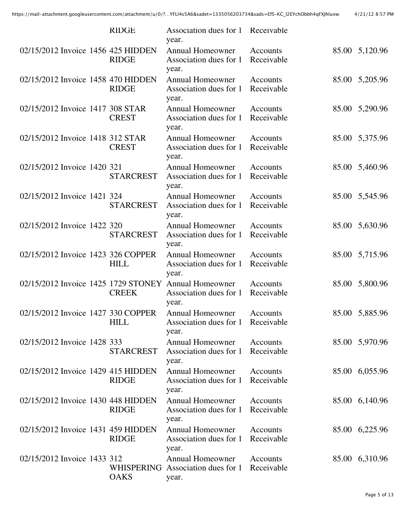|                                     | <b>RIDGE</b>              | Association dues for 1<br>year.                            | Receivable                    |       |                |
|-------------------------------------|---------------------------|------------------------------------------------------------|-------------------------------|-------|----------------|
| 02/15/2012 Invoice 1456 425 HIDDEN  | <b>RIDGE</b>              | <b>Annual Homeowner</b><br>Association dues for 1<br>year. | Accounts<br>Receivable        |       | 85.00 5,120.96 |
| 02/15/2012 Invoice 1458 470 HIDDEN  | <b>RIDGE</b>              | <b>Annual Homeowner</b><br>Association dues for 1<br>year. | Accounts<br>Receivable        |       | 85.00 5,205.96 |
| 02/15/2012 Invoice 1417 308 STAR    | <b>CREST</b>              | <b>Annual Homeowner</b><br>Association dues for 1<br>year. | <b>Accounts</b><br>Receivable |       | 85.00 5,290.96 |
| 02/15/2012 Invoice 1418 312 STAR    | <b>CREST</b>              | <b>Annual Homeowner</b><br>Association dues for 1<br>year. | Accounts<br>Receivable        | 85.00 | 5,375.96       |
| 02/15/2012 Invoice 1420 321         | <b>STARCREST</b>          | <b>Annual Homeowner</b><br>Association dues for 1<br>year. | Accounts<br>Receivable        |       | 85.00 5,460.96 |
| 02/15/2012 Invoice 1421 324         | <b>STARCREST</b>          | <b>Annual Homeowner</b><br>Association dues for 1<br>year. | <b>Accounts</b><br>Receivable |       | 85.00 5,545.96 |
| 02/15/2012 Invoice 1422 320         | <b>STARCREST</b>          | <b>Annual Homeowner</b><br>Association dues for 1<br>year. | Accounts<br>Receivable        | 85.00 | 5,630.96       |
| 02/15/2012 Invoice 1423 326 COPPER  | <b>HILL</b>               | <b>Annual Homeowner</b><br>Association dues for 1<br>year. | Accounts<br>Receivable        |       | 85.00 5,715.96 |
| 02/15/2012 Invoice 1425 1729 STONEY | <b>CREEK</b>              | <b>Annual Homeowner</b><br>Association dues for 1<br>year. | <b>Accounts</b><br>Receivable | 85.00 | 5,800.96       |
| 02/15/2012 Invoice 1427 330 COPPER  | <b>HILL</b>               | <b>Annual Homeowner</b><br>Association dues for 1<br>year. | Accounts<br>Receivable        | 85.00 | 5,885.96       |
| 02/15/2012 Invoice 1428 333         | <b>STARCREST</b>          | <b>Annual Homeowner</b><br>Association dues for 1<br>year. | Accounts<br>Receivable        |       | 85.00 5,970.96 |
| 02/15/2012 Invoice 1429 415 HIDDEN  | <b>RIDGE</b>              | <b>Annual Homeowner</b><br>Association dues for 1<br>year. | Accounts<br>Receivable        |       | 85.00 6,055.96 |
| 02/15/2012 Invoice 1430 448 HIDDEN  | <b>RIDGE</b>              | <b>Annual Homeowner</b><br>Association dues for 1<br>year. | <b>Accounts</b><br>Receivable |       | 85.00 6,140.96 |
| 02/15/2012 Invoice 1431 459 HIDDEN  | <b>RIDGE</b>              | <b>Annual Homeowner</b><br>Association dues for 1<br>year. | Accounts<br>Receivable        |       | 85.00 6,225.96 |
| 02/15/2012 Invoice 1433 312         | WHISPERING<br><b>OAKS</b> | <b>Annual Homeowner</b><br>Association dues for 1<br>year. | Accounts<br>Receivable        |       | 85.00 6,310.96 |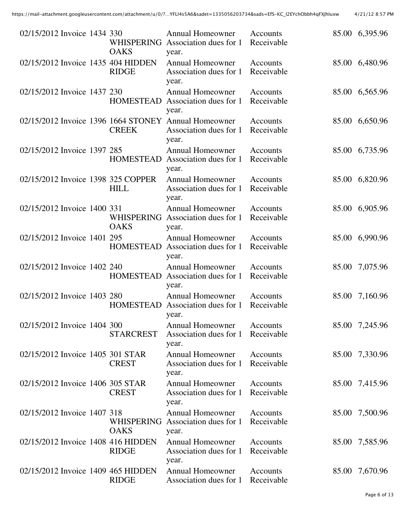| 02/15/2012 Invoice 1434 330        | WHISPERING<br><b>OAKS</b>        | <b>Annual Homeowner</b><br>Association dues for 1<br>year.                              | Accounts<br>Receivable |       | 85.00 6,395.96 |
|------------------------------------|----------------------------------|-----------------------------------------------------------------------------------------|------------------------|-------|----------------|
| 02/15/2012 Invoice 1435 404 HIDDEN | <b>RIDGE</b>                     | <b>Annual Homeowner</b><br>Association dues for 1<br>year.                              | Accounts<br>Receivable |       | 85.00 6,480.96 |
| 02/15/2012 Invoice 1437 230        | <b>HOMESTEAD</b>                 | <b>Annual Homeowner</b><br>Association dues for 1<br>year.                              | Accounts<br>Receivable |       | 85.00 6,565.96 |
|                                    | <b>CREEK</b>                     | 02/15/2012 Invoice 1396 1664 STONEY Annual Homeowner<br>Association dues for 1<br>year. | Accounts<br>Receivable |       | 85.00 6,650.96 |
| 02/15/2012 Invoice 1397 285        | <b>HOMESTEAD</b>                 | <b>Annual Homeowner</b><br>Association dues for 1<br>year.                              | Accounts<br>Receivable |       | 85.00 6,735.96 |
| 02/15/2012 Invoice 1398 325 COPPER | <b>HILL</b>                      | <b>Annual Homeowner</b><br>Association dues for 1<br>year.                              | Accounts<br>Receivable |       | 85.00 6,820.96 |
| 02/15/2012 Invoice 1400 331        | <b>WHISPERING</b><br><b>OAKS</b> | <b>Annual Homeowner</b><br>Association dues for 1<br>year.                              | Accounts<br>Receivable |       | 85.00 6,905.96 |
| 02/15/2012 Invoice 1401 295        | <b>HOMESTEAD</b>                 | <b>Annual Homeowner</b><br>Association dues for 1<br>year.                              | Accounts<br>Receivable |       | 85.00 6,990.96 |
| 02/15/2012 Invoice 1402 240        | <b>HOMESTEAD</b>                 | <b>Annual Homeowner</b><br>Association dues for 1<br>year.                              | Accounts<br>Receivable | 85.00 | 7,075.96       |
| 02/15/2012 Invoice 1403 280        | <b>HOMESTEAD</b>                 | <b>Annual Homeowner</b><br>Association dues for 1<br>year.                              | Accounts<br>Receivable | 85.00 | 7,160.96       |
| 02/15/2012 Invoice 1404 300        | <b>STARCREST</b>                 | <b>Annual Homeowner</b><br>Association dues for 1<br>year.                              | Accounts<br>Receivable |       | 85.00 7,245.96 |
| 02/15/2012 Invoice 1405 301 STAR   | <b>CREST</b>                     | <b>Annual Homeowner</b><br>Association dues for 1<br>year.                              | Accounts<br>Receivable |       | 85.00 7,330.96 |
| 02/15/2012 Invoice 1406 305 STAR   | <b>CREST</b>                     | <b>Annual Homeowner</b><br>Association dues for 1<br>year.                              | Accounts<br>Receivable |       | 85.00 7,415.96 |
| 02/15/2012 Invoice 1407 318        | <b>WHISPERING</b><br><b>OAKS</b> | <b>Annual Homeowner</b><br>Association dues for 1<br>year.                              | Accounts<br>Receivable |       | 85.00 7,500.96 |
| 02/15/2012 Invoice 1408 416 HIDDEN | <b>RIDGE</b>                     | <b>Annual Homeowner</b><br>Association dues for 1<br>year.                              | Accounts<br>Receivable |       | 85.00 7,585.96 |
| 02/15/2012 Invoice 1409 465 HIDDEN | <b>RIDGE</b>                     | <b>Annual Homeowner</b><br>Association dues for 1                                       | Accounts<br>Receivable |       | 85.00 7,670.96 |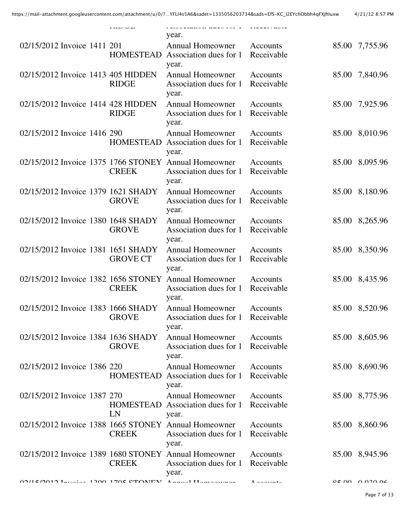|                                     |                        | addesimien wwwe ici i<br>year.                                                          |                         |                           |
|-------------------------------------|------------------------|-----------------------------------------------------------------------------------------|-------------------------|---------------------------|
| 02/15/2012 Invoice 1411 201         | <b>HOMESTEAD</b>       | <b>Annual Homeowner</b><br>Association dues for 1<br>year.                              | Accounts<br>Receivable  | 85.00 7,755.96            |
| 02/15/2012 Invoice 1413 405 HIDDEN  | <b>RIDGE</b>           | <b>Annual Homeowner</b><br>Association dues for 1<br>year.                              | Accounts<br>Receivable  | 85.00 7,840.96            |
| 02/15/2012 Invoice 1414 428 HIDDEN  | <b>RIDGE</b>           | <b>Annual Homeowner</b><br>Association dues for 1<br>year.                              | Accounts<br>Receivable  | 85.00 7,925.96            |
| 02/15/2012 Invoice 1416 290         | <b>HOMESTEAD</b>       | <b>Annual Homeowner</b><br>Association dues for 1<br>year.                              | Accounts<br>Receivable  | 85.00 8,010.96            |
| 02/15/2012 Invoice 1375 1766 STONEY | <b>CREEK</b>           | <b>Annual Homeowner</b><br>Association dues for 1<br>year.                              | Accounts<br>Receivable  | 85.00 8,095.96            |
| 02/15/2012 Invoice 1379 1621 SHADY  | <b>GROVE</b>           | <b>Annual Homeowner</b><br>Association dues for 1<br>year.                              | Accounts<br>Receivable  | 85.00 8,180.96            |
| 02/15/2012 Invoice 1380 1648 SHADY  | <b>GROVE</b>           | <b>Annual Homeowner</b><br>Association dues for 1<br>year.                              | Accounts<br>Receivable  | 85.00 8,265.96            |
| 02/15/2012 Invoice 1381 1651 SHADY  | <b>GROVE CT</b>        | <b>Annual Homeowner</b><br>Association dues for 1<br>year.                              | Accounts<br>Receivable  | 85.00 8,350.96            |
| 02/15/2012 Invoice 1382 1656 STONEY | <b>CREEK</b>           | <b>Annual Homeowner</b><br>Association dues for 1<br>year.                              | Accounts<br>Receivable  | 85.00 8,435.96            |
| 02/15/2012 Invoice 1383 1666 SHADY  | <b>GROVE</b>           | <b>Annual Homeowner</b><br>Association dues for 1<br>year.                              | Accounts<br>Receivable  | 85.00 8,520.96            |
| 02/15/2012 Invoice 1384 1636 SHADY  | <b>GROVE</b>           | <b>Annual Homeowner</b><br>Association dues for 1<br>year.                              | Accounts<br>Receivable  | 85.00 8,605.96            |
| 02/15/2012 Invoice 1386 220         | <b>HOMESTEAD</b>       | <b>Annual Homeowner</b><br>Association dues for 1<br>year.                              | Accounts<br>Receivable  | 85.00 8,690.96            |
| 02/15/2012 Invoice 1387 270         | <b>HOMESTEAD</b><br>LN | <b>Annual Homeowner</b><br>Association dues for 1<br>year.                              | Accounts<br>Receivable  | 85.00 8,775.96            |
|                                     | <b>CREEK</b>           | 02/15/2012 Invoice 1388 1665 STONEY Annual Homeowner<br>Association dues for 1<br>year. | Accounts<br>Receivable  | 85.00 8,860.96            |
|                                     | <b>CREEK</b>           | 02/15/2012 Invoice 1389 1680 STONEY Annual Homeowner<br>Association dues for 1<br>year. | Accounts<br>Receivable  | 85.00 8,945.96            |
|                                     | 1200 1705 CTONIEV      | $\Lambda$ and $\Lambda$ III and a approximate                                           | $\Lambda$ and $\Lambda$ | $0.5$ $0.0$ $0.020$ $0.6$ |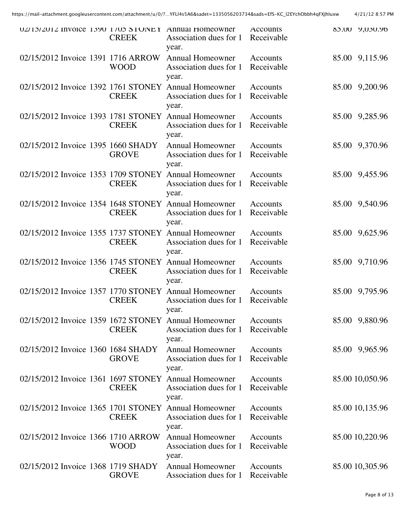|                                     | <b>CREEK</b> | UZ/13/ZU1Z INVOICE 1390 1/03 STOINEY Annual Homeowner<br>Association dues for 1<br>year. | <b>ACCOUNTS</b><br>Receivable |       | 80.00 9,030.90  |
|-------------------------------------|--------------|------------------------------------------------------------------------------------------|-------------------------------|-------|-----------------|
| 02/15/2012 Invoice 1391 1716 ARROW  | <b>WOOD</b>  | <b>Annual Homeowner</b><br>Association dues for 1<br>year.                               | Accounts<br>Receivable        |       | 85.00 9,115.96  |
| 02/15/2012 Invoice 1392 1761 STONEY | <b>CREEK</b> | <b>Annual Homeowner</b><br>Association dues for 1<br>year.                               | Accounts<br>Receivable        | 85.00 | 9,200.96        |
| 02/15/2012 Invoice 1393 1781 STONEY | <b>CREEK</b> | <b>Annual Homeowner</b><br>Association dues for 1<br>year.                               | Accounts<br>Receivable        |       | 85.00 9,285.96  |
| 02/15/2012 Invoice 1395 1660 SHADY  | <b>GROVE</b> | <b>Annual Homeowner</b><br>Association dues for 1<br>year.                               | Accounts<br>Receivable        |       | 85.00 9,370.96  |
| 02/15/2012 Invoice 1353 1709 STONEY | <b>CREEK</b> | <b>Annual Homeowner</b><br>Association dues for 1<br>year.                               | <b>Accounts</b><br>Receivable | 85.00 | 9,455.96        |
|                                     | <b>CREEK</b> | 02/15/2012 Invoice 1354 1648 STONEY Annual Homeowner<br>Association dues for 1<br>year.  | Accounts<br>Receivable        |       | 85.00 9,540.96  |
| 02/15/2012 Invoice 1355 1737 STONEY | <b>CREEK</b> | <b>Annual Homeowner</b><br>Association dues for 1<br>year.                               | Accounts<br>Receivable        | 85.00 | 9,625.96        |
| 02/15/2012 Invoice 1356 1745 STONEY | <b>CREEK</b> | <b>Annual Homeowner</b><br>Association dues for 1<br>year.                               | Accounts<br>Receivable        |       | 85.00 9,710.96  |
|                                     | <b>CREEK</b> | 02/15/2012 Invoice 1357 1770 STONEY Annual Homeowner<br>Association dues for 1<br>year.  | Accounts<br>Receivable        |       | 85.00 9,795.96  |
|                                     | <b>CREEK</b> | 02/15/2012 Invoice 1359 1672 STONEY Annual Homeowner<br>Association dues for 1<br>year.  | Accounts<br>Receivable        |       | 85.00 9,880.96  |
| 02/15/2012 Invoice 1360 1684 SHADY  | <b>GROVE</b> | <b>Annual Homeowner</b><br>Association dues for 1<br>year.                               | Accounts<br>Receivable        |       | 85.00 9,965.96  |
| 02/15/2012 Invoice 1361 1697 STONEY | <b>CREEK</b> | <b>Annual Homeowner</b><br>Association dues for 1<br>year.                               | Accounts<br>Receivable        |       | 85.00 10,050.96 |
| 02/15/2012 Invoice 1365 1701 STONEY | <b>CREEK</b> | <b>Annual Homeowner</b><br>Association dues for 1<br>year.                               | Accounts<br>Receivable        |       | 85.00 10,135.96 |
| 02/15/2012 Invoice 1366 1710 ARROW  | WOOD         | <b>Annual Homeowner</b><br>Association dues for 1<br>year.                               | Accounts<br>Receivable        |       | 85.00 10,220.96 |
| 02/15/2012 Invoice 1368 1719 SHADY  | <b>GROVE</b> | <b>Annual Homeowner</b><br>Association dues for 1                                        | Accounts<br>Receivable        |       | 85.00 10,305.96 |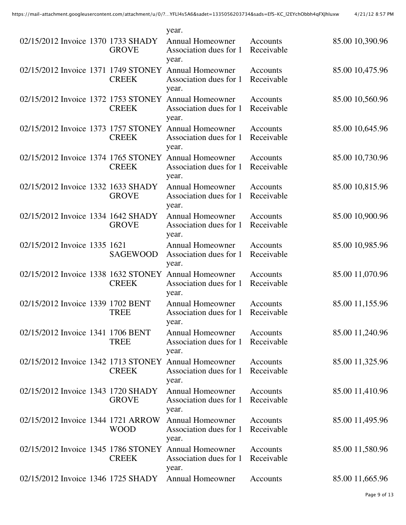|                                     |                 | year.                                                                                   |                               |                 |
|-------------------------------------|-----------------|-----------------------------------------------------------------------------------------|-------------------------------|-----------------|
| 02/15/2012 Invoice 1370 1733 SHADY  | <b>GROVE</b>    | <b>Annual Homeowner</b><br>Association dues for 1<br>year.                              | Accounts<br>Receivable        | 85.00 10,390.96 |
|                                     | <b>CREEK</b>    | 02/15/2012 Invoice 1371 1749 STONEY Annual Homeowner<br>Association dues for 1<br>year. | Accounts<br>Receivable        | 85.00 10,475.96 |
| 02/15/2012 Invoice 1372 1753 STONEY | <b>CREEK</b>    | <b>Annual Homeowner</b><br>Association dues for 1<br>year.                              | <b>Accounts</b><br>Receivable | 85.00 10,560.96 |
| 02/15/2012 Invoice 1373 1757 STONEY | <b>CREEK</b>    | <b>Annual Homeowner</b><br>Association dues for 1<br>year.                              | Accounts<br>Receivable        | 85.00 10,645.96 |
| 02/15/2012 Invoice 1374 1765 STONEY | <b>CREEK</b>    | <b>Annual Homeowner</b><br>Association dues for 1<br>year.                              | Accounts<br>Receivable        | 85.00 10,730.96 |
| 02/15/2012 Invoice 1332 1633 SHADY  | <b>GROVE</b>    | <b>Annual Homeowner</b><br>Association dues for 1<br>year.                              | Accounts<br>Receivable        | 85.00 10,815.96 |
| 02/15/2012 Invoice 1334 1642 SHADY  | <b>GROVE</b>    | <b>Annual Homeowner</b><br>Association dues for 1<br>year.                              | Accounts<br>Receivable        | 85.00 10,900.96 |
| 02/15/2012 Invoice 1335 1621        | <b>SAGEWOOD</b> | <b>Annual Homeowner</b><br>Association dues for 1<br>year.                              | Accounts<br>Receivable        | 85.00 10,985.96 |
| 02/15/2012 Invoice 1338 1632 STONEY | <b>CREEK</b>    | <b>Annual Homeowner</b><br>Association dues for 1<br>year.                              | Accounts<br>Receivable        | 85.00 11,070.96 |
| 02/15/2012 Invoice 1339 1702 BENT   | <b>TREE</b>     | <b>Annual Homeowner</b><br>Association dues for 1<br>year.                              | Accounts<br>Receivable        | 85.00 11,155.96 |
| 02/15/2012 Invoice 1341 1706 BENT   | <b>TREE</b>     | <b>Annual Homeowner</b><br>Association dues for 1<br>year.                              | Accounts<br>Receivable        | 85.00 11,240.96 |
| 02/15/2012 Invoice 1342 1713 STONEY | <b>CREEK</b>    | <b>Annual Homeowner</b><br>Association dues for 1<br>year.                              | Accounts<br>Receivable        | 85.00 11,325.96 |
| 02/15/2012 Invoice 1343 1720 SHADY  | <b>GROVE</b>    | <b>Annual Homeowner</b><br>Association dues for 1<br>year.                              | Accounts<br>Receivable        | 85.00 11,410.96 |
| 02/15/2012 Invoice 1344 1721 ARROW  | WOOD            | <b>Annual Homeowner</b><br>Association dues for 1<br>year.                              | Accounts<br>Receivable        | 85.00 11,495.96 |
| 02/15/2012 Invoice 1345 1786 STONEY | <b>CREEK</b>    | <b>Annual Homeowner</b><br>Association dues for 1<br>year.                              | Accounts<br>Receivable        | 85.00 11,580.96 |
| 02/15/2012 Invoice 1346 1725 SHADY  |                 | <b>Annual Homeowner</b>                                                                 | Accounts                      | 85.00 11,665.96 |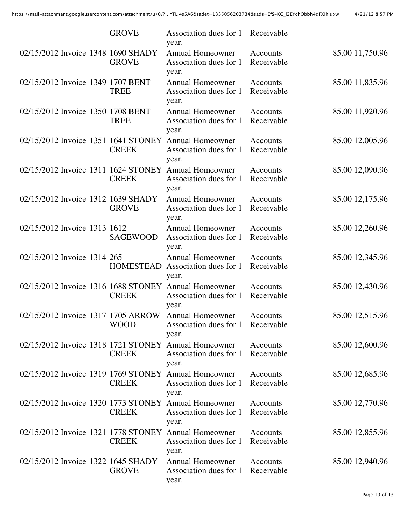|                                     | <b>GROVE</b>     | Association dues for 1<br>year.                                                         | Receivable             |                 |
|-------------------------------------|------------------|-----------------------------------------------------------------------------------------|------------------------|-----------------|
| 02/15/2012 Invoice 1348 1690 SHADY  | <b>GROVE</b>     | <b>Annual Homeowner</b><br>Association dues for 1<br>year.                              | Accounts<br>Receivable | 85.00 11,750.96 |
| 02/15/2012 Invoice 1349 1707 BENT   | <b>TREE</b>      | Annual Homeowner<br>Association dues for 1<br>year.                                     | Accounts<br>Receivable | 85.00 11,835.96 |
| 02/15/2012 Invoice 1350 1708 BENT   | <b>TREE</b>      | <b>Annual Homeowner</b><br>Association dues for 1<br>year.                              | Accounts<br>Receivable | 85.00 11,920.96 |
| 02/15/2012 Invoice 1351 1641 STONEY | <b>CREEK</b>     | <b>Annual Homeowner</b><br>Association dues for 1<br>year.                              | Accounts<br>Receivable | 85.00 12,005.96 |
|                                     | <b>CREEK</b>     | 02/15/2012 Invoice 1311 1624 STONEY Annual Homeowner<br>Association dues for 1<br>year. | Accounts<br>Receivable | 85.00 12,090.96 |
| 02/15/2012 Invoice 1312 1639 SHADY  | <b>GROVE</b>     | <b>Annual Homeowner</b><br>Association dues for 1<br>year.                              | Accounts<br>Receivable | 85.00 12,175.96 |
| 02/15/2012 Invoice 1313 1612        | <b>SAGEWOOD</b>  | <b>Annual Homeowner</b><br>Association dues for 1<br>year.                              | Accounts<br>Receivable | 85.00 12,260.96 |
| 02/15/2012 Invoice 1314 265         | <b>HOMESTEAD</b> | <b>Annual Homeowner</b><br>Association dues for 1<br>year.                              | Accounts<br>Receivable | 85.00 12,345.96 |
| 02/15/2012 Invoice 1316 1688 STONEY | <b>CREEK</b>     | <b>Annual Homeowner</b><br>Association dues for 1<br>year.                              | Accounts<br>Receivable | 85.00 12,430.96 |
| 02/15/2012 Invoice 1317 1705 ARROW  | <b>WOOD</b>      | <b>Annual Homeowner</b><br>Association dues for 1<br>year.                              | Accounts<br>Receivable | 85.00 12,515.96 |
|                                     | <b>CREEK</b>     | 02/15/2012 Invoice 1318 1721 STONEY Annual Homeowner<br>Association dues for 1<br>year. | Accounts<br>Receivable | 85.00 12,600.96 |
| 02/15/2012 Invoice 1319 1769 STONEY | <b>CREEK</b>     | <b>Annual Homeowner</b><br>Association dues for 1<br>year.                              | Accounts<br>Receivable | 85.00 12,685.96 |
| 02/15/2012 Invoice 1320 1773 STONEY | <b>CREEK</b>     | <b>Annual Homeowner</b><br>Association dues for 1<br>year.                              | Accounts<br>Receivable | 85.00 12,770.96 |
| 02/15/2012 Invoice 1321 1778 STONEY | <b>CREEK</b>     | <b>Annual Homeowner</b><br>Association dues for 1<br>year.                              | Accounts<br>Receivable | 85.00 12,855.96 |
| 02/15/2012 Invoice 1322 1645 SHADY  | <b>GROVE</b>     | <b>Annual Homeowner</b><br>Association dues for 1<br>vear.                              | Accounts<br>Receivable | 85.00 12,940.96 |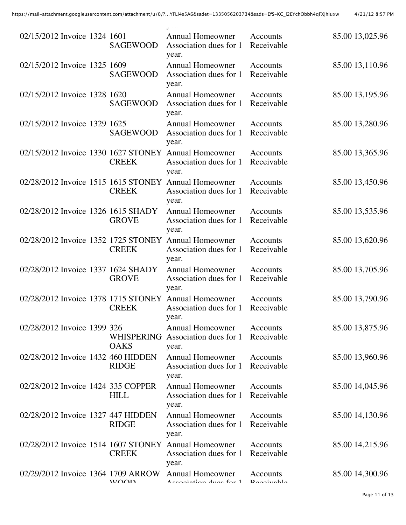| 02/15/2012 Invoice 1324 1601        | <b>SAGEWOOD</b>           | <b>Annual Homeowner</b><br>Association dues for 1<br>year.                              | Accounts<br>Receivable           | 85.00 13,025.96 |
|-------------------------------------|---------------------------|-----------------------------------------------------------------------------------------|----------------------------------|-----------------|
| 02/15/2012 Invoice 1325 1609        | <b>SAGEWOOD</b>           | <b>Annual Homeowner</b><br>Association dues for 1<br>year.                              | Accounts<br>Receivable           | 85.00 13,110.96 |
| 02/15/2012 Invoice 1328 1620        | <b>SAGEWOOD</b>           | <b>Annual Homeowner</b><br>Association dues for 1<br>year.                              | Accounts<br>Receivable           | 85.00 13,195.96 |
| 02/15/2012 Invoice 1329 1625        | <b>SAGEWOOD</b>           | <b>Annual Homeowner</b><br>Association dues for 1<br>year.                              | Accounts<br>Receivable           | 85.00 13,280.96 |
|                                     | <b>CREEK</b>              | 02/15/2012 Invoice 1330 1627 STONEY Annual Homeowner<br>Association dues for 1<br>year. | Accounts<br>Receivable           | 85.00 13,365.96 |
| 02/28/2012 Invoice 1515 1615 STONEY | <b>CREEK</b>              | <b>Annual Homeowner</b><br>Association dues for 1<br>year.                              | Accounts<br>Receivable           | 85.00 13,450.96 |
| 02/28/2012 Invoice 1326 1615 SHADY  | <b>GROVE</b>              | <b>Annual Homeowner</b><br>Association dues for 1<br>year.                              | <b>Accounts</b><br>Receivable    | 85.00 13,535.96 |
|                                     | <b>CREEK</b>              | 02/28/2012 Invoice 1352 1725 STONEY Annual Homeowner<br>Association dues for 1<br>year. | Accounts<br>Receivable           | 85.00 13,620.96 |
| 02/28/2012 Invoice 1337 1624 SHADY  | <b>GROVE</b>              | <b>Annual Homeowner</b><br>Association dues for 1<br>year.                              | Accounts<br>Receivable           | 85.00 13,705.96 |
|                                     | <b>CREEK</b>              | 02/28/2012 Invoice 1378 1715 STONEY Annual Homeowner<br>Association dues for 1<br>year. | Accounts<br>Receivable           | 85.00 13,790.96 |
| 02/28/2012 Invoice 1399 326         | WHISPERING<br><b>OAKS</b> | <b>Annual Homeowner</b><br>Association dues for 1<br>year.                              | Accounts<br>Receivable           | 85.00 13,875.96 |
| 02/28/2012 Invoice 1432 460 HIDDEN  | <b>RIDGE</b>              | <b>Annual Homeowner</b><br>Association dues for 1<br>year.                              | Accounts<br>Receivable           | 85.00 13,960.96 |
| 02/28/2012 Invoice 1424 335 COPPER  | <b>HILL</b>               | <b>Annual Homeowner</b><br>Association dues for 1<br>year.                              | Accounts<br>Receivable           | 85.00 14,045.96 |
| 02/28/2012 Invoice 1327 447 HIDDEN  | <b>RIDGE</b>              | <b>Annual Homeowner</b><br>Association dues for 1<br>year.                              | Accounts<br>Receivable           | 85.00 14,130.96 |
| 02/28/2012 Invoice 1514 1607 STONEY | <b>CREEK</b>              | <b>Annual Homeowner</b><br>Association dues for 1<br>year.                              | Accounts<br>Receivable           | 85.00 14,215.96 |
| 02/29/2012 Invoice 1364 1709 ARROW  | $W \cap \cap D$           | <b>Annual Homeowner</b><br>Accordinting durch fax 1                                     | Accounts<br>$D$ and $\mathbf{L}$ | 85.00 14,300.96 |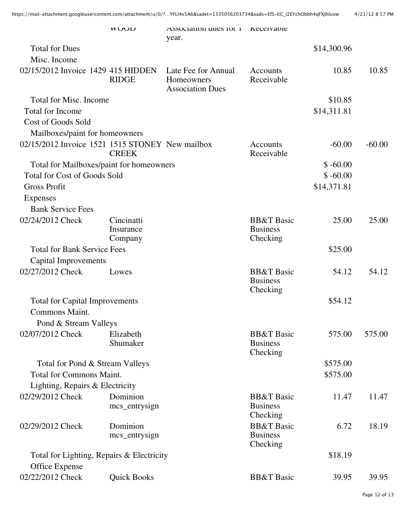|                                                 | <b>WUUD</b>                        | ASSOCIATION QUES TOT 1<br>year.                              | Receivable                                           |             |          |
|-------------------------------------------------|------------------------------------|--------------------------------------------------------------|------------------------------------------------------|-------------|----------|
| <b>Total for Dues</b>                           |                                    |                                                              |                                                      | \$14,300.96 |          |
| Misc. Income                                    |                                    |                                                              |                                                      |             |          |
| 02/15/2012 Invoice 1429 415 HIDDEN              | <b>RIDGE</b>                       | Late Fee for Annual<br>Homeowners<br><b>Association Dues</b> | Accounts<br>Receivable                               | 10.85       | 10.85    |
| <b>Total for Misc. Income</b>                   |                                    |                                                              |                                                      | \$10.85     |          |
| <b>Total for Income</b>                         |                                    |                                                              |                                                      | \$14,311.81 |          |
| <b>Cost of Goods Sold</b>                       |                                    |                                                              |                                                      |             |          |
| Mailboxes/paint for homeowners                  |                                    |                                                              |                                                      |             |          |
| 02/15/2012 Invoice 1521 1515 STONEY New mailbox | <b>CREEK</b>                       |                                                              | Accounts<br>Receivable                               | $-60.00$    | $-60.00$ |
| Total for Mailboxes/paint for homeowners        |                                    |                                                              |                                                      | $$ -60.00$  |          |
| <b>Total for Cost of Goods Sold</b>             |                                    |                                                              |                                                      | $$ -60.00$  |          |
| <b>Gross Profit</b>                             |                                    |                                                              |                                                      | \$14,371.81 |          |
| <b>Expenses</b>                                 |                                    |                                                              |                                                      |             |          |
| <b>Bank Service Fees</b>                        |                                    |                                                              |                                                      |             |          |
| 02/24/2012 Check                                | Cincinatti<br>Insurance<br>Company |                                                              | <b>BB&amp;T</b> Basic<br><b>Business</b><br>Checking | 25.00       | 25.00    |
| <b>Total for Bank Service Fees</b>              |                                    |                                                              |                                                      | \$25.00     |          |
| <b>Capital Improvements</b>                     |                                    |                                                              |                                                      |             |          |
| 02/27/2012 Check                                | Lowes                              |                                                              | <b>BB&amp;T</b> Basic                                | 54.12       | 54.12    |
|                                                 |                                    |                                                              | <b>Business</b><br>Checking                          |             |          |
| <b>Total for Capital Improvements</b>           |                                    |                                                              |                                                      | \$54.12     |          |
| Commons Maint.                                  |                                    |                                                              |                                                      |             |          |
| Pond & Stream Valleys                           |                                    |                                                              |                                                      |             |          |
| 02/07/2012 Check                                | Elizabeth<br>Shumaker              |                                                              | <b>BB&amp;T</b> Basic<br><b>Business</b><br>Checking | 575.00      | 575.00   |
| Total for Pond & Stream Valleys                 |                                    |                                                              |                                                      | \$575.00    |          |
| <b>Total for Commons Maint.</b>                 |                                    |                                                              |                                                      | \$575.00    |          |
| Lighting, Repairs & Electricity                 |                                    |                                                              |                                                      |             |          |
| 02/29/2012 Check                                | Dominion                           |                                                              | <b>BB&amp;T</b> Basic                                | 11.47       | 11.47    |
|                                                 | mcs_entrysign                      |                                                              | <b>Business</b><br>Checking                          |             |          |
| 02/29/2012 Check                                | Dominion                           |                                                              | <b>BB&amp;T</b> Basic                                | 6.72        | 18.19    |
|                                                 | mcs_entrysign                      |                                                              | <b>Business</b><br>Checking                          |             |          |
| Total for Lighting, Repairs & Electricity       |                                    |                                                              |                                                      | \$18.19     |          |
| Office Expense                                  |                                    |                                                              |                                                      |             |          |
| 02/22/2012 Check                                | <b>Quick Books</b>                 |                                                              | <b>BB&amp;T</b> Basic                                | 39.95       | 39.95    |